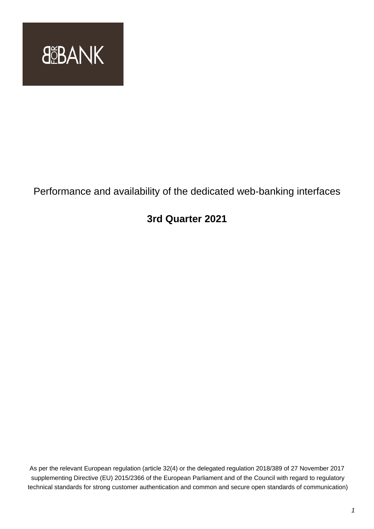

# Performance and availability of the dedicated web-banking interfaces

# **3rd Quarter 2021**

As per the relevant European regulation (article 32(4) or the delegated regulation 2018/389 of 27 November 2017 supplementing Directive (EU) 2015/2366 of the European Parliament and of the Council with regard to regulatory technical standards for strong customer authentication and common and secure open standards of communication)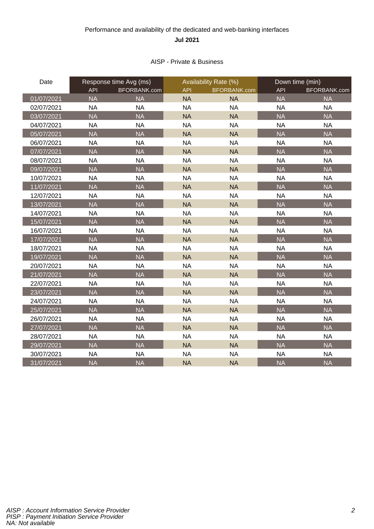## Performance and availability of the dedicated and web-banking interfaces **Jul 2021**

### AISP - Private & Business

| Date       | Response time Avg (ms) |              |            | Availability Rate (%) |            | Down time (min) |  |
|------------|------------------------|--------------|------------|-----------------------|------------|-----------------|--|
|            | <b>API</b>             | BFORBANK.com | <b>API</b> | <b>BFORBANK.com</b>   | <b>API</b> | BFORBANK.com    |  |
| 01/07/2021 | <b>NA</b>              | <b>NA</b>    | <b>NA</b>  | <b>NA</b>             | <b>NA</b>  | <b>NA</b>       |  |
| 02/07/2021 | <b>NA</b>              | <b>NA</b>    | <b>NA</b>  | <b>NA</b>             | <b>NA</b>  | <b>NA</b>       |  |
| 03/07/2021 | <b>NA</b>              | <b>NA</b>    | <b>NA</b>  | <b>NA</b>             | <b>NA</b>  | <b>NA</b>       |  |
| 04/07/2021 | <b>NA</b>              | <b>NA</b>    | <b>NA</b>  | <b>NA</b>             | <b>NA</b>  | <b>NA</b>       |  |
| 05/07/2021 | <b>NA</b>              | <b>NA</b>    | <b>NA</b>  | <b>NA</b>             | <b>NA</b>  | <b>NA</b>       |  |
| 06/07/2021 | <b>NA</b>              | <b>NA</b>    | <b>NA</b>  | <b>NA</b>             | <b>NA</b>  | <b>NA</b>       |  |
| 07/07/2021 | <b>NA</b>              | <b>NA</b>    | <b>NA</b>  | <b>NA</b>             | <b>NA</b>  | <b>NA</b>       |  |
| 08/07/2021 | <b>NA</b>              | <b>NA</b>    | <b>NA</b>  | <b>NA</b>             | <b>NA</b>  | <b>NA</b>       |  |
| 09/07/2021 | <b>NA</b>              | <b>NA</b>    | <b>NA</b>  | <b>NA</b>             | <b>NA</b>  | <b>NA</b>       |  |
| 10/07/2021 | <b>NA</b>              | <b>NA</b>    | <b>NA</b>  | <b>NA</b>             | <b>NA</b>  | <b>NA</b>       |  |
| 11/07/2021 | <b>NA</b>              | <b>NA</b>    | <b>NA</b>  | <b>NA</b>             | <b>NA</b>  | <b>NA</b>       |  |
| 12/07/2021 | <b>NA</b>              | <b>NA</b>    | <b>NA</b>  | <b>NA</b>             | <b>NA</b>  | <b>NA</b>       |  |
| 13/07/2021 | <b>NA</b>              | <b>NA</b>    | <b>NA</b>  | <b>NA</b>             | <b>NA</b>  | <b>NA</b>       |  |
| 14/07/2021 | <b>NA</b>              | <b>NA</b>    | <b>NA</b>  | <b>NA</b>             | <b>NA</b>  | <b>NA</b>       |  |
| 15/07/2021 | <b>NA</b>              | <b>NA</b>    | <b>NA</b>  | <b>NA</b>             | <b>NA</b>  | <b>NA</b>       |  |
| 16/07/2021 | <b>NA</b>              | <b>NA</b>    | <b>NA</b>  | <b>NA</b>             | <b>NA</b>  | <b>NA</b>       |  |
| 17/07/2021 | <b>NA</b>              | <b>NA</b>    | <b>NA</b>  | <b>NA</b>             | <b>NA</b>  | <b>NA</b>       |  |
| 18/07/2021 | <b>NA</b>              | <b>NA</b>    | <b>NA</b>  | <b>NA</b>             | <b>NA</b>  | <b>NA</b>       |  |
| 19/07/2021 | <b>NA</b>              | <b>NA</b>    | <b>NA</b>  | <b>NA</b>             | <b>NA</b>  | <b>NA</b>       |  |
| 20/07/2021 | <b>NA</b>              | <b>NA</b>    | <b>NA</b>  | <b>NA</b>             | <b>NA</b>  | <b>NA</b>       |  |
| 21/07/2021 | <b>NA</b>              | <b>NA</b>    | <b>NA</b>  | <b>NA</b>             | <b>NA</b>  | <b>NA</b>       |  |
| 22/07/2021 | <b>NA</b>              | <b>NA</b>    | <b>NA</b>  | <b>NA</b>             | <b>NA</b>  | <b>NA</b>       |  |
| 23/07/2021 | <b>NA</b>              | <b>NA</b>    | <b>NA</b>  | <b>NA</b>             | <b>NA</b>  | <b>NA</b>       |  |
| 24/07/2021 | <b>NA</b>              | <b>NA</b>    | <b>NA</b>  | <b>NA</b>             | <b>NA</b>  | <b>NA</b>       |  |
| 25/07/2021 | <b>NA</b>              | <b>NA</b>    | <b>NA</b>  | <b>NA</b>             | <b>NA</b>  | <b>NA</b>       |  |
| 26/07/2021 | <b>NA</b>              | <b>NA</b>    | <b>NA</b>  | <b>NA</b>             | <b>NA</b>  | <b>NA</b>       |  |
| 27/07/2021 | <b>NA</b>              | <b>NA</b>    | <b>NA</b>  | <b>NA</b>             | <b>NA</b>  | <b>NA</b>       |  |
| 28/07/2021 | <b>NA</b>              | <b>NA</b>    | <b>NA</b>  | <b>NA</b>             | <b>NA</b>  | <b>NA</b>       |  |
| 29/07/2021 | <b>NA</b>              | <b>NA</b>    | <b>NA</b>  | <b>NA</b>             | <b>NA</b>  | <b>NA</b>       |  |
| 30/07/2021 | <b>NA</b>              | <b>NA</b>    | <b>NA</b>  | <b>NA</b>             | <b>NA</b>  | <b>NA</b>       |  |
| 31/07/2021 | <b>NA</b>              | <b>NA</b>    | <b>NA</b>  | <b>NA</b>             | <b>NA</b>  | <b>NA</b>       |  |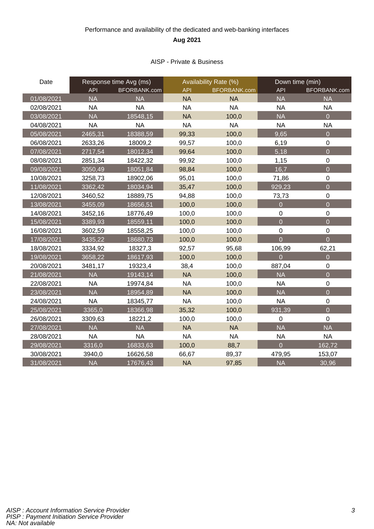## Performance and availability of the dedicated and web-banking interfaces **Aug 2021**

### AISP - Private & Business

| Date       | Response time Avg (ms) |              | Availability Rate (%) |              | Down time (min) |                  |
|------------|------------------------|--------------|-----------------------|--------------|-----------------|------------------|
|            | <b>API</b>             | BFORBANK.com | <b>API</b>            | BFORBANK.com | <b>API</b>      | BFORBANK.com     |
| 01/08/2021 | <b>NA</b>              | <b>NA</b>    | <b>NA</b>             | <b>NA</b>    | <b>NA</b>       | <b>NA</b>        |
| 02/08/2021 | <b>NA</b>              | <b>NA</b>    | <b>NA</b>             | <b>NA</b>    | <b>NA</b>       | <b>NA</b>        |
| 03/08/2021 | <b>NA</b>              | 18548,15     | <b>NA</b>             | 100,0        | <b>NA</b>       | $\overline{0}$   |
| 04/08/2021 | <b>NA</b>              | <b>NA</b>    | <b>NA</b>             | <b>NA</b>    | <b>NA</b>       | <b>NA</b>        |
| 05/08/2021 | 2465,31                | 18388,59     | 99,33                 | 100,0        | 9,65            | $\overline{0}$   |
| 06/08/2021 | 2633,26                | 18009,2      | 99,57                 | 100,0        | 6,19            | $\mathbf 0$      |
| 07/08/2021 | 2717,54                | 18012,34     | 99,64                 | 100,0        | 5,18            | $\overline{0}$   |
| 08/08/2021 | 2851,34                | 18422,32     | 99,92                 | 100,0        | 1,15            | $\mathbf 0$      |
| 09/08/2021 | 3050,49                | 18051,84     | 98,84                 | 100,0        | 16,7            | $\overline{0}$   |
| 10/08/2021 | 3258,73                | 18902,06     | 95,01                 | 100,0        | 71,86           | $\boldsymbol{0}$ |
| 11/08/2021 | 3362,42                | 18034,94     | 35,47                 | 100,0        | 929,23          | $\overline{0}$   |
| 12/08/2021 | 3460,52                | 18889,75     | 94,88                 | 100,0        | 73,73           | $\mathbf 0$      |
| 13/08/2021 | 3455,09                | 18656,51     | 100,0                 | 100,0        | $\overline{0}$  | $\overline{0}$   |
| 14/08/2021 | 3452,16                | 18776,49     | 100,0                 | 100,0        | 0               | $\mathbf 0$      |
| 15/08/2021 | 3389,93                | 18559,11     | 100,0                 | 100,0        | $\overline{0}$  | $\overline{0}$   |
| 16/08/2021 | 3602,59                | 18558,25     | 100,0                 | 100,0        | $\pmb{0}$       | $\mathbf 0$      |
| 17/08/2021 | 3435,22                | 18680,73     | 100,0                 | 100,0        | $\overline{0}$  | $\overline{0}$   |
| 18/08/2021 | 3334,92                | 18327,3      | 92,57                 | 95,68        | 106,99          | 62,21            |
| 19/08/2021 | 3658,22                | 18617,93     | 100,0                 | 100,0        | $\overline{0}$  | $\overline{0}$   |
| 20/08/2021 | 3481,17                | 19323,4      | 38,4                  | 100,0        | 887,04          | $\mathbf 0$      |
| 21/08/2021 | <b>NA</b>              | 19143,14     | <b>NA</b>             | 100,0        | <b>NA</b>       | $\overline{0}$   |
| 22/08/2021 | <b>NA</b>              | 19974,84     | <b>NA</b>             | 100,0        | <b>NA</b>       | $\mathbf 0$      |
| 23/08/2021 | <b>NA</b>              | 18954,89     | <b>NA</b>             | 100,0        | <b>NA</b>       | $\overline{0}$   |
| 24/08/2021 | <b>NA</b>              | 18345,77     | <b>NA</b>             | 100,0        | <b>NA</b>       | $\mathbf 0$      |
| 25/08/2021 | 3365,0                 | 18366,98     | 35,32                 | 100,0        | 931,39          | $\overline{0}$   |
| 26/08/2021 | 3309,63                | 18221,2      | 100,0                 | 100,0        | $\mathbf 0$     | $\mathbf 0$      |
| 27/08/2021 | <b>NA</b>              | <b>NA</b>    | <b>NA</b>             | <b>NA</b>    | <b>NA</b>       | <b>NA</b>        |
| 28/08/2021 | <b>NA</b>              | <b>NA</b>    | <b>NA</b>             | <b>NA</b>    | <b>NA</b>       | <b>NA</b>        |
| 29/08/2021 | 3316,0                 | 16833,63     | 100,0                 | 88,7         | $\overline{0}$  | 162,72           |
| 30/08/2021 | 3940,0                 | 16626,58     | 66,67                 | 89,37        | 479,95          | 153,07           |
| 31/08/2021 | <b>NA</b>              | 17676,43     | <b>NA</b>             | 97,85        | <b>NA</b>       | 30,96            |